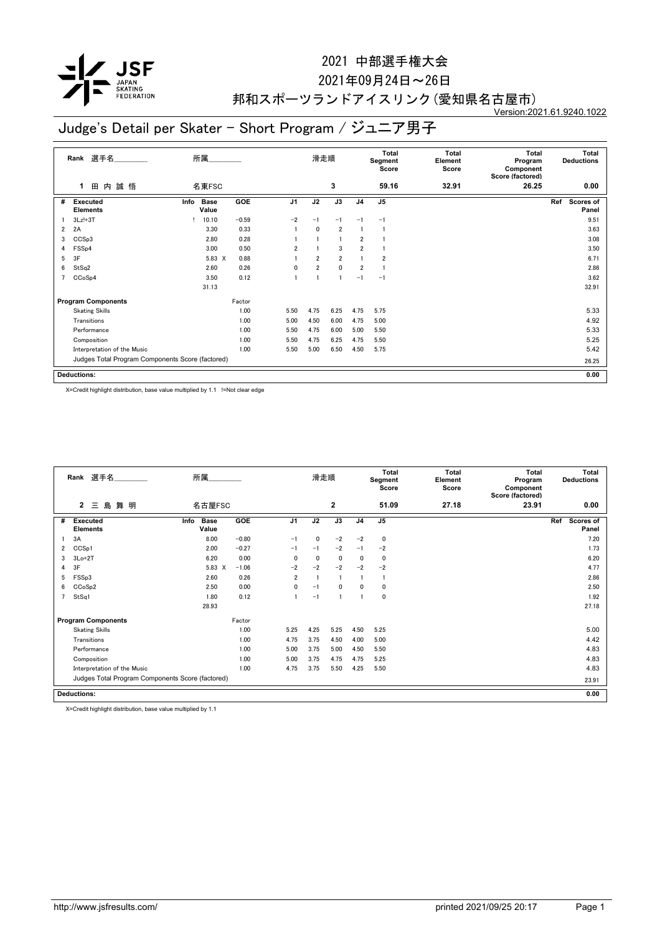

### 2021年09月24日~26日

#### 邦和スポーツランドアイスリンク(愛知県名古屋市) Version:2021.61.9240.1022

# Judge's Detail per Skater - Short Program / ジュニア男子

|                | 選手名<br>Rank                                      | 所属   |                      |         |                | 滑走順            |                |                | <b>Total</b><br>Segment<br>Score | Total<br>Element<br>Score | <b>Total</b><br>Program<br>Component<br>Score (factored) |     | <b>Total</b><br><b>Deductions</b> |
|----------------|--------------------------------------------------|------|----------------------|---------|----------------|----------------|----------------|----------------|----------------------------------|---------------------------|----------------------------------------------------------|-----|-----------------------------------|
|                | 誠悟<br>田内<br>1                                    |      | 名東FSC                |         |                |                | 3              |                | 59.16                            | 32.91                     | 26.25                                                    |     | 0.00                              |
| #              | Executed<br><b>Elements</b>                      | Info | <b>Base</b><br>Value | GOE     | J <sub>1</sub> | J2             | J3             | J <sub>4</sub> | J5                               |                           |                                                          | Ref | <b>Scores of</b><br>Panel         |
|                | $3Lz!+3T$                                        |      | 10.10                | $-0.59$ | $-2$           | $-1$           | $-1$           | $-1$           | $-1$                             |                           |                                                          |     | 9.51                              |
| $\overline{2}$ | 2A                                               |      | 3.30                 | 0.33    |                | $\mathbf{0}$   | $\overline{2}$ | 1              |                                  |                           |                                                          |     | 3.63                              |
| 3              | CCSp3                                            |      | 2.80                 | 0.28    |                |                |                | $\overline{2}$ |                                  |                           |                                                          |     | 3.08                              |
| 4              | FSS <sub>p4</sub>                                |      | 3.00                 | 0.50    | $\overline{2}$ |                | 3              | $\overline{2}$ |                                  |                           |                                                          |     | 3.50                              |
| 5              | 3F                                               |      | 5.83 X               | 0.88    |                | $\overline{2}$ | $\overline{2}$ | 1              | $\overline{2}$                   |                           |                                                          |     | 6.71                              |
| 6              | StSq2                                            |      | 2.60                 | 0.26    | 0              | $\overline{2}$ | $\mathbf 0$    | $\overline{2}$ |                                  |                           |                                                          |     | 2.86                              |
| 7              | CCoSp4                                           |      | 3.50                 | 0.12    |                |                |                | $-1$           | $-1$                             |                           |                                                          |     | 3.62                              |
|                |                                                  |      | 31.13                |         |                |                |                |                |                                  |                           |                                                          |     | 32.91                             |
|                | <b>Program Components</b>                        |      |                      | Factor  |                |                |                |                |                                  |                           |                                                          |     |                                   |
|                | <b>Skating Skills</b>                            |      |                      | 1.00    | 5.50           | 4.75           | 6.25           | 4.75           | 5.75                             |                           |                                                          |     | 5.33                              |
|                | Transitions                                      |      |                      | 1.00    | 5.00           | 4.50           | 6.00           | 4.75           | 5.00                             |                           |                                                          |     | 4.92                              |
|                | Performance                                      |      |                      | 1.00    | 5.50           | 4.75           | 6.00           | 5.00           | 5.50                             |                           |                                                          |     | 5.33                              |
|                | Composition                                      |      |                      | 1.00    | 5.50           | 4.75           | 6.25           | 4.75           | 5.50                             |                           |                                                          |     | 5.25                              |
|                | Interpretation of the Music                      |      |                      | 1.00    | 5.50           | 5.00           | 6.50           | 4.50           | 5.75                             |                           |                                                          |     | 5.42                              |
|                | Judges Total Program Components Score (factored) |      |                      |         |                |                |                |                |                                  |                           |                                                          |     | 26.25                             |
|                | <b>Deductions:</b>                               |      |                      |         |                |                |                |                |                                  |                           |                                                          |     | 0.00                              |

X=Credit highlight distribution, base value multiplied by 1.1 !=Not clear edge

|   | Rank 選手名                                         | 所属                           |         | 滑走順            |              | Total<br>Segment<br>Score |                | <b>Total</b><br>Element<br>Score | Total<br>Program<br>Component<br>Score (factored) | Total<br><b>Deductions</b> |                                  |
|---|--------------------------------------------------|------------------------------|---------|----------------|--------------|---------------------------|----------------|----------------------------------|---------------------------------------------------|----------------------------|----------------------------------|
|   | 島<br>$\mathbf{2}$<br>舞 明<br>Ξ                    | 名古屋FSC                       |         |                |              | 2                         |                | 51.09                            | 27.18                                             | 23.91                      | 0.00                             |
| # | <b>Executed</b><br><b>Elements</b>               | <b>Base</b><br>Info<br>Value | GOE     | J <sub>1</sub> | J2           | J3                        | J <sub>4</sub> | J <sub>5</sub>                   |                                                   |                            | Ref<br><b>Scores of</b><br>Panel |
|   | 3A                                               | 8.00                         | $-0.80$ | $-1$           | $\mathbf{0}$ | $-2$                      | $-2$           | $\mathbf 0$                      |                                                   |                            | 7.20                             |
| 2 | CCS <sub>p1</sub>                                | 2.00                         | $-0.27$ | $-1$           | $-1$         | $-2$                      | $-1$           | $-2$                             |                                                   |                            | 1.73                             |
| 3 | $3Lo+2T$                                         | 6.20                         | 0.00    | $\Omega$       | $\mathbf{0}$ | 0                         | 0              | $\mathbf 0$                      |                                                   |                            | 6.20                             |
| 4 | 3F                                               | 5.83<br>X                    | $-1.06$ | $-2$           | $-2$         | $-2$                      | $-2$           | $-2$                             |                                                   |                            | 4.77                             |
| 5 | FSS <sub>p3</sub>                                | 2.60                         | 0.26    | $\overline{2}$ |              |                           |                |                                  |                                                   |                            | 2.86                             |
| 6 | CCoSp2                                           | 2.50                         | 0.00    | 0              | $-1$         | $\mathbf{0}$              | 0              | $\mathbf 0$                      |                                                   |                            | 2.50                             |
|   | StSq1                                            | 1.80                         | 0.12    |                | $-1$         |                           |                | $\mathbf 0$                      |                                                   |                            | 1.92                             |
|   |                                                  | 28.93                        |         |                |              |                           |                |                                  |                                                   |                            | 27.18                            |
|   | <b>Program Components</b>                        |                              | Factor  |                |              |                           |                |                                  |                                                   |                            |                                  |
|   | <b>Skating Skills</b>                            |                              | 1.00    | 5.25           | 4.25         | 5.25                      | 4.50           | 5.25                             |                                                   |                            | 5.00                             |
|   | Transitions                                      |                              | 1.00    | 4.75           | 3.75         | 4.50                      | 4.00           | 5.00                             |                                                   |                            | 4.42                             |
|   | Performance                                      |                              | 1.00    | 5.00           | 3.75         | 5.00                      | 4.50           | 5.50                             |                                                   |                            | 4.83                             |
|   | Composition                                      |                              | 1.00    | 5.00           | 3.75         | 4.75                      | 4.75           | 5.25                             |                                                   |                            | 4.83                             |
|   | Interpretation of the Music                      |                              | 1.00    | 4.75           | 3.75         | 5.50                      | 4.25           | 5.50                             |                                                   |                            | 4.83                             |
|   | Judges Total Program Components Score (factored) |                              |         |                |              |                           |                |                                  |                                                   |                            | 23.91                            |
|   | <b>Deductions:</b>                               |                              |         |                |              |                           |                |                                  |                                                   |                            | 0.00                             |

X=Credit highlight distribution, base value multiplied by 1.1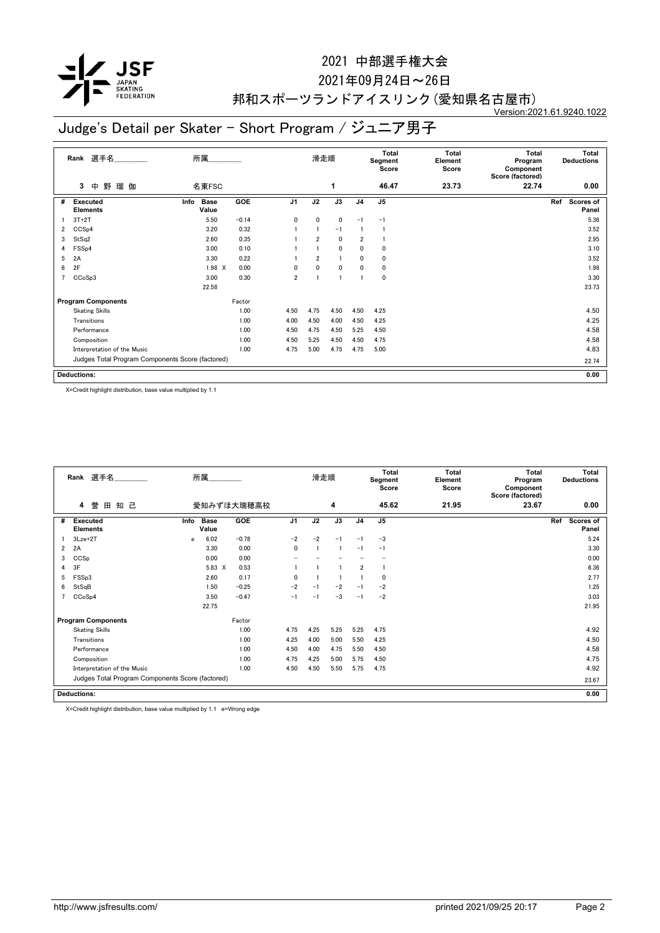

### 2021年09月24日~26日

#### 邦和スポーツランドアイスリンク(愛知県名古屋市) Version:2021.61.9240.1022

# Judge's Detail per Skater - Short Program / ジュニア男子

|   | 選手名<br>Rank                                      | 所属                           |            |                | 滑走順  |             |                | <b>Total</b><br>Segment<br>Score | Total<br>Element<br>Score | <b>Total</b><br>Program<br>Component<br>Score (factored) | Total<br><b>Deductions</b> |
|---|--------------------------------------------------|------------------------------|------------|----------------|------|-------------|----------------|----------------------------------|---------------------------|----------------------------------------------------------|----------------------------|
|   | 野<br>瑠伽<br>3<br>中                                | 名東FSC                        |            |                |      | 1           |                | 46.47                            | 23.73                     | 22.74                                                    | 0.00                       |
| # | Executed<br><b>Elements</b>                      | Info<br><b>Base</b><br>Value | <b>GOE</b> | J <sub>1</sub> | J2   | J3          | J <sub>4</sub> | J5                               |                           |                                                          | Ref<br>Scores of<br>Panel  |
|   | $3T+2T$                                          | 5.50                         | $-0.14$    | 0              | 0    | $\mathbf 0$ | $-1$           | $-1$                             |                           |                                                          | 5.36                       |
| 2 | CCSp4                                            | 3.20                         | 0.32       |                | 1    | $-1$        |                |                                  |                           |                                                          | 3.52                       |
| 3 | StSq2                                            | 2.60                         | 0.35       |                | 2    | $\mathbf 0$ | 2              |                                  |                           |                                                          | 2.95                       |
| 4 | FSS <sub>p4</sub>                                | 3.00                         | 0.10       |                |      | $\mathbf 0$ | 0              | 0                                |                           |                                                          | 3.10                       |
| 5 | 2A                                               | 3.30                         | 0.22       |                | 2    |             | 0              | 0                                |                           |                                                          | 3.52                       |
| 6 | 2F                                               | $1.98$ X                     | 0.00       | 0              | 0    | $\mathbf 0$ | 0              | 0                                |                           |                                                          | 1.98                       |
| 7 | CCoSp3                                           | 3.00                         | 0.30       | $\overline{2}$ | 1    |             |                | 0                                |                           |                                                          | 3.30                       |
|   |                                                  | 22.58                        |            |                |      |             |                |                                  |                           |                                                          | 23.73                      |
|   | <b>Program Components</b>                        |                              | Factor     |                |      |             |                |                                  |                           |                                                          |                            |
|   | <b>Skating Skills</b>                            |                              | 1.00       | 4.50           | 4.75 | 4.50        | 4.50           | 4.25                             |                           |                                                          | 4.50                       |
|   | Transitions                                      |                              | 1.00       | 4.00           | 4.50 | 4.00        | 4.50           | 4.25                             |                           |                                                          | 4.25                       |
|   | Performance                                      |                              | 1.00       | 4.50           | 4.75 | 4.50        | 5.25           | 4.50                             |                           |                                                          | 4.58                       |
|   | Composition                                      |                              | 1.00       | 4.50           | 5.25 | 4.50        | 4.50           | 4.75                             |                           |                                                          | 4.58                       |
|   | Interpretation of the Music                      |                              | 1.00       | 4.75           | 5.00 | 4.75        | 4.75           | 5.00                             |                           |                                                          | 4.83                       |
|   | Judges Total Program Components Score (factored) |                              |            |                |      |             |                |                                  |                           |                                                          | 22.74                      |
|   | <b>Deductions:</b>                               |                              |            |                |      |             |                |                                  |                           |                                                          | 0.00                       |

X=Credit highlight distribution, base value multiplied by 1.1

|                | Rank 選手名                                         | 所属   |                      |            |                | 滑走順  |      |                | Total<br>Segment<br>Score | <b>Total</b><br>Element<br>Score | Total<br>Program<br>Component<br>Score (factored) | Total<br><b>Deductions</b> |                           |
|----------------|--------------------------------------------------|------|----------------------|------------|----------------|------|------|----------------|---------------------------|----------------------------------|---------------------------------------------------|----------------------------|---------------------------|
|                | 誉<br>田<br>知 己<br>4                               |      |                      | 愛知みずほ大瑞穂高校 |                |      | 4    |                | 45.62                     | 21.95                            | 23.67                                             |                            | 0.00                      |
| #              | <b>Executed</b><br><b>Elements</b>               | Info | <b>Base</b><br>Value | GOE        | J <sub>1</sub> | J2   | J3   | J <sub>4</sub> | J <sub>5</sub>            |                                  |                                                   | Ref                        | <b>Scores of</b><br>Panel |
|                | $3Lze+2T$                                        | e    | 6.02                 | $-0.78$    | $-2$           | $-2$ | $-1$ | $-1$           | $-3$                      |                                  |                                                   |                            | 5.24                      |
| $\overline{2}$ | 2A                                               |      | 3.30                 | 0.00       | $\mathbf{0}$   |      | -1   | $-1$           | $-1$                      |                                  |                                                   |                            | 3.30                      |
| 3              | CCSp                                             |      | 0.00                 | 0.00       |                |      |      |                |                           |                                  |                                                   |                            | 0.00                      |
| 4              | 3F                                               |      | 5.83 X               | 0.53       |                |      |      | $\overline{2}$ |                           |                                  |                                                   |                            | 6.36                      |
| 5              | FSS <sub>p3</sub>                                |      | 2.60                 | 0.17       | $\mathbf{0}$   |      |      |                | $\mathbf 0$               |                                  |                                                   |                            | 2.77                      |
| 6              | StSqB                                            |      | 1.50                 | $-0.25$    | $-2$           | $-1$ | $-2$ | $-1$           | $-2$                      |                                  |                                                   |                            | 1.25                      |
|                | CCoSp4                                           |      | 3.50                 | $-0.47$    | $-1$           | $-1$ | $-3$ | $-1$           | $-2$                      |                                  |                                                   |                            | 3.03                      |
|                |                                                  |      | 22.75                |            |                |      |      |                |                           |                                  |                                                   |                            | 21.95                     |
|                | <b>Program Components</b>                        |      |                      | Factor     |                |      |      |                |                           |                                  |                                                   |                            |                           |
|                | <b>Skating Skills</b>                            |      |                      | 1.00       | 4.75           | 4.25 | 5.25 | 5.25           | 4.75                      |                                  |                                                   |                            | 4.92                      |
|                | Transitions                                      |      |                      | 1.00       | 4.25           | 4.00 | 5.00 | 5.50           | 4.25                      |                                  |                                                   |                            | 4.50                      |
|                | Performance                                      |      |                      | 1.00       | 4.50           | 4.00 | 4.75 | 5.50           | 4.50                      |                                  |                                                   |                            | 4.58                      |
|                | Composition                                      |      |                      | 1.00       | 4.75           | 4.25 | 5.00 | 5.75           | 4.50                      |                                  |                                                   |                            | 4.75                      |
|                | Interpretation of the Music                      |      |                      | 1.00       | 4.50           | 4.50 | 5.50 | 5.75           | 4.75                      |                                  |                                                   |                            | 4.92                      |
|                | Judges Total Program Components Score (factored) |      |                      |            |                |      |      |                |                           |                                  |                                                   |                            | 23.67                     |
|                | <b>Deductions:</b>                               |      |                      |            |                |      |      |                |                           |                                  |                                                   |                            | 0.00                      |

X=Credit highlight distribution, base value multiplied by 1.1 e=Wrong edge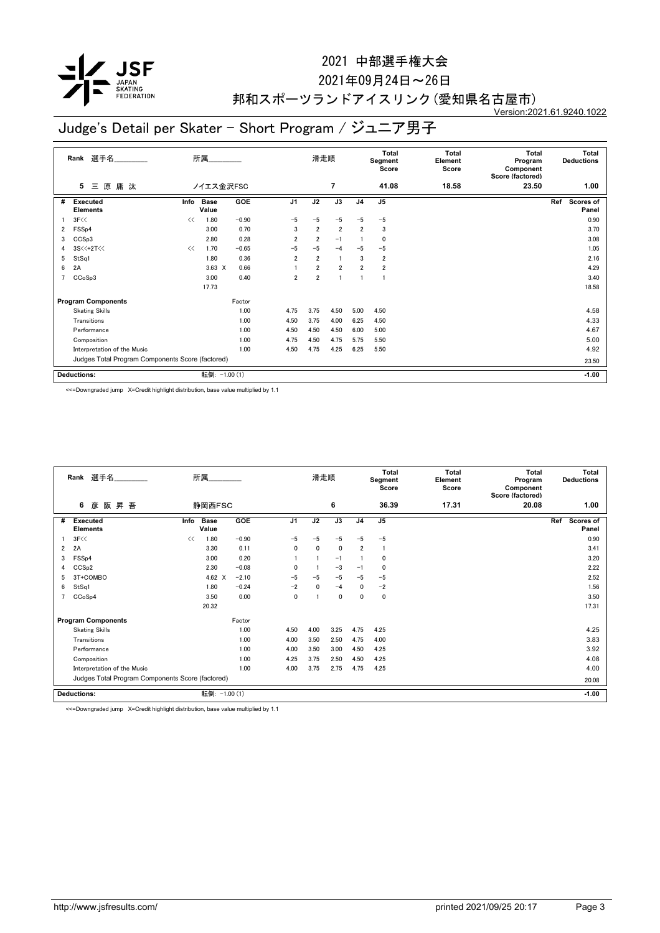

### 2021年09月24日~26日

#### 邦和スポーツランドアイスリンク(愛知県名古屋市) Version:2021.61.9240.1022

# Judge's Detail per Skater - Short Program / ジュニア男子

| 選手名<br>Rank    |                                                  |      | 所属                   |               |                | 滑走順            |                |                | <b>Total</b><br>Segment<br>Score | Total<br>Element<br>Score | <b>Total</b><br>Program<br>Component<br>Score (factored) | Total<br><b>Deductions</b> |                    |
|----------------|--------------------------------------------------|------|----------------------|---------------|----------------|----------------|----------------|----------------|----------------------------------|---------------------------|----------------------------------------------------------|----------------------------|--------------------|
|                | 原庸汰<br>5<br>Ξ                                    |      | ノイエス金沢FSC            |               |                |                | $\overline{7}$ |                | 41.08                            | 18.58                     | 23.50                                                    |                            | 1.00               |
| #              | Executed<br><b>Elements</b>                      | Info | <b>Base</b><br>Value | <b>GOE</b>    | J <sub>1</sub> | J2             | J3             | J <sub>4</sub> | J5                               |                           |                                                          | Ref                        | Scores of<br>Panel |
|                | 3F<<                                             | <<   | 1.80                 | $-0.90$       | $-5$           | $-5$           | $-5$           | $-5$           | $-5$                             |                           |                                                          |                            | 0.90               |
| $\overline{2}$ | FSS <sub>p4</sub>                                |      | 3.00                 | 0.70          | 3              | $\overline{2}$ | $\overline{2}$ | 2              | 3                                |                           |                                                          |                            | 3.70               |
| 3              | CCSp3                                            |      | 2.80                 | 0.28          | $\overline{2}$ | $\overline{2}$ | $-1$           |                | 0                                |                           |                                                          |                            | 3.08               |
| 4              | 3S<<+2T<<                                        | <<   | 1.70                 | $-0.65$       | $-5$           | $-5$           | $-4$           | $-5$           | $-5$                             |                           |                                                          |                            | 1.05               |
| 5              | StSq1                                            |      | 1.80                 | 0.36          | $\overline{2}$ | $\overline{2}$ |                | 3              | $\overline{2}$                   |                           |                                                          |                            | 2.16               |
| 6              | 2A                                               |      | $3.63 \times$        | 0.66          |                | $\overline{2}$ | $\overline{2}$ | $\overline{2}$ | $\overline{2}$                   |                           |                                                          |                            | 4.29               |
| 7              | CCoSp3                                           |      | 3.00                 | 0.40          | $\overline{2}$ | $\overline{2}$ |                |                |                                  |                           |                                                          |                            | 3.40               |
|                |                                                  |      | 17.73                |               |                |                |                |                |                                  |                           |                                                          |                            | 18.58              |
|                | <b>Program Components</b>                        |      |                      | Factor        |                |                |                |                |                                  |                           |                                                          |                            |                    |
|                | <b>Skating Skills</b>                            |      |                      | 1.00          | 4.75           | 3.75           | 4.50           | 5.00           | 4.50                             |                           |                                                          |                            | 4.58               |
|                | Transitions                                      |      |                      | 1.00          | 4.50           | 3.75           | 4.00           | 6.25           | 4.50                             |                           |                                                          |                            | 4.33               |
|                | Performance                                      |      |                      | 1.00          | 4.50           | 4.50           | 4.50           | 6.00           | 5.00                             |                           |                                                          |                            | 4.67               |
|                | Composition                                      |      |                      | 1.00          | 4.75           | 4.50           | 4.75           | 5.75           | 5.50                             |                           |                                                          |                            | 5.00               |
|                | Interpretation of the Music                      |      |                      | 1.00          | 4.50           | 4.75           | 4.25           | 6.25           | 5.50                             |                           |                                                          |                            | 4.92               |
|                | Judges Total Program Components Score (factored) |      |                      |               |                |                |                |                |                                  | 23.50                     |                                                          |                            |                    |
|                | <b>Deductions:</b>                               |      |                      | 転倒: -1.00 (1) |                |                |                |                |                                  |                           |                                                          |                            | $-1.00$            |

<<=Downgraded jump X=Credit highlight distribution, base value multiplied by 1.1

|                | Rank 選手名                                         |      | 所属                   |            |                | 滑走順          |              |                | <b>Total</b><br>Segment<br>Score | <b>Total</b><br>Element<br>Score | <b>Total</b><br>Program<br>Component<br>Score (factored) | <b>Total</b><br><b>Deductions</b> |
|----------------|--------------------------------------------------|------|----------------------|------------|----------------|--------------|--------------|----------------|----------------------------------|----------------------------------|----------------------------------------------------------|-----------------------------------|
|                | 阪<br>昇 吾<br>6<br>彦                               |      | 静岡西FSC               |            |                |              | 6            |                | 36.39                            | 17.31                            | 20.08                                                    | 1.00                              |
| #              | <b>Executed</b><br><b>Elements</b>               | Info | <b>Base</b><br>Value | <b>GOE</b> | J <sub>1</sub> | J2           | J3           | J <sub>4</sub> | J <sub>5</sub>                   |                                  |                                                          | Ref<br>Scores of<br>Panel         |
|                | 3F<<                                             | <<   | 1.80                 | $-0.90$    | $-5$           | $-5$         | $-5$         | $-5$           | $-5$                             |                                  |                                                          | 0.90                              |
| $\overline{2}$ | 2A                                               |      | 3.30                 | 0.11       | $\mathbf{0}$   | $\mathbf{0}$ | $\mathbf{0}$ | $\overline{2}$ |                                  |                                  |                                                          | 3.41                              |
| 3              | FSS <sub>p4</sub>                                |      | 3.00                 | 0.20       |                |              | $-1$         |                | 0                                |                                  |                                                          | 3.20                              |
| 4              | CCS <sub>p2</sub>                                |      | 2.30                 | $-0.08$    | $\Omega$       |              | $-3$         | $-1$           | 0                                |                                  |                                                          | 2.22                              |
| 5              | 3T+COMBO                                         |      | 4.62 X               | $-2.10$    | $-5$           | $-5$         | $-5$         | $-5$           | $-5$                             |                                  |                                                          | 2.52                              |
| 6              | StSq1                                            |      | 1.80                 | $-0.24$    | $-2$           | $\mathbf{0}$ | $-4$         | $\mathbf{0}$   | $-2$                             |                                  |                                                          | 1.56                              |
| 7              | CCoSp4                                           |      | 3.50                 | 0.00       | $\mathbf 0$    |              | $\mathbf 0$  | $\mathbf{0}$   | 0                                |                                  |                                                          | 3.50                              |
|                |                                                  |      | 20.32                |            |                |              |              |                |                                  |                                  |                                                          | 17.31                             |
|                | <b>Program Components</b>                        |      |                      | Factor     |                |              |              |                |                                  |                                  |                                                          |                                   |
|                | <b>Skating Skills</b>                            |      |                      | 1.00       | 4.50           | 4.00         | 3.25         | 4.75           | 4.25                             |                                  |                                                          | 4.25                              |
|                | Transitions                                      |      |                      | 1.00       | 4.00           | 3.50         | 2.50         | 4.75           | 4.00                             |                                  |                                                          | 3.83                              |
|                | Performance                                      |      |                      | 1.00       | 4.00           | 3.50         | 3.00         | 4.50           | 4.25                             |                                  |                                                          | 3.92                              |
|                | Composition                                      |      |                      | 1.00       | 4.25           | 3.75         | 2.50         | 4.50           | 4.25                             |                                  |                                                          | 4.08                              |
|                | Interpretation of the Music                      |      |                      | 1.00       | 4.00           | 3.75         | 2.75         | 4.75           | 4.25                             |                                  |                                                          | 4.00                              |
|                | Judges Total Program Components Score (factored) |      |                      |            |                |              |              |                | 20.08                            |                                  |                                                          |                                   |
|                | <b>Deductions:</b>                               |      | 転倒: -1.00 (1)        |            |                |              |              |                |                                  |                                  |                                                          | $-1.00$                           |

<<=Downgraded jump X=Credit highlight distribution, base value multiplied by 1.1